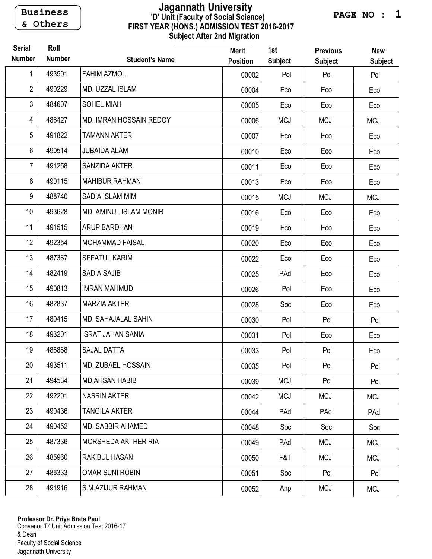Business & Others

## FIRST YEAR (HONS.) ADMISSION TEST 2016-2017 Subject After 2nd Migration 'D' Unit (Faculty of Social Science) Jagannath University

PAGE NO : 1

| <b>Serial</b><br><b>Number</b> | Roll<br><b>Number</b> | <b>Student's Name</b>         | <b>Merit</b><br><b>Position</b> | 1st<br><b>Subject</b> | <b>Previous</b><br><b>Subject</b> | <b>New</b><br><b>Subject</b> |
|--------------------------------|-----------------------|-------------------------------|---------------------------------|-----------------------|-----------------------------------|------------------------------|
| 1                              | 493501                | <b>FAHIM AZMOL</b>            | 00002                           | Pol                   | Pol                               | Pol                          |
| $\overline{2}$                 | 490229                | MD. UZZAL ISLAM               | 00004                           | Eco                   | Eco                               | Eco                          |
| $\mathfrak{Z}$                 | 484607                | <b>SOHEL MIAH</b>             | 00005                           | Eco                   | Eco                               | Eco                          |
| $\overline{4}$                 | 486427                | MD. IMRAN HOSSAIN REDOY       | 00006                           | <b>MCJ</b>            | <b>MCJ</b>                        | <b>MCJ</b>                   |
| 5                              | 491822                | <b>TAMANN AKTER</b>           | 00007                           | Eco                   | Eco                               | Eco                          |
| 6                              | 490514                | <b>JUBAIDA ALAM</b>           | 00010                           | Eco                   | Eco                               | Eco                          |
| $\overline{7}$                 | 491258                | SANZIDA AKTER                 | 00011                           | Eco                   | Eco                               | Eco                          |
| 8                              | 490115                | <b>MAHIBUR RAHMAN</b>         | 00013                           | Eco                   | Eco                               | Eco                          |
| 9                              | 488740                | SADIA ISLAM MIM               | 00015                           | <b>MCJ</b>            | <b>MCJ</b>                        | <b>MCJ</b>                   |
| 10 <sup>1</sup>                | 493628                | <b>MD. AMINUL ISLAM MONIR</b> | 00016                           | Eco                   | Eco                               | Eco                          |
| 11                             | 491515                | <b>ARUP BARDHAN</b>           | 00019                           | Eco                   | Eco                               | Eco                          |
| 12                             | 492354                | <b>MOHAMMAD FAISAL</b>        | 00020                           | Eco                   | Eco                               | Eco                          |
| 13                             | 487367                | <b>SEFATUL KARIM</b>          | 00022                           | Eco                   | Eco                               | Eco                          |
| 14                             | 482419                | <b>SADIA SAJIB</b>            | 00025                           | PAd                   | Eco                               | Eco                          |
| 15                             | 490813                | <b>IMRAN MAHMUD</b>           | 00026                           | Pol                   | Eco                               | Eco                          |
| 16                             | 482837                | <b>MARZIA AKTER</b>           | 00028                           | Soc                   | Eco                               | Eco                          |
| 17                             | 480415                | <b>MD. SAHAJALAL SAHIN</b>    | 00030                           | Pol                   | Pol                               | Pol                          |
| 18                             | 493201                | <b>ISRAT JAHAN SANIA</b>      | 00031                           | Pol                   | Eco                               | Eco                          |
| 19                             | 486868                | <b>SAJAL DATTA</b>            | 00033                           | Pol                   | Pol                               | Eco                          |
| 20                             | 493511                | MD. ZUBAEL HOSSAIN            | 00035                           | Pol                   | Pol                               | Pol                          |
| 21                             | 494534                | <b>MD.AHSAN HABIB</b>         | 00039                           | <b>MCJ</b>            | Pol                               | Pol                          |
| 22                             | 492201                | <b>NASRIN AKTER</b>           | 00042                           | <b>MCJ</b>            | <b>MCJ</b>                        | <b>MCJ</b>                   |
| 23                             | 490436                | <b>TANGILA AKTER</b>          | 00044                           | PAd                   | PAd                               | PAd                          |
| 24                             | 490452                | MD. SABBIR AHAMED             | 00048                           | Soc                   | Soc                               | Soc                          |
| 25                             | 487336                | MORSHEDA AKTHER RIA           | 00049                           | PAd                   | <b>MCJ</b>                        | <b>MCJ</b>                   |
| 26                             | 485960                | <b>RAKIBUL HASAN</b>          | 00050                           | F&T                   | <b>MCJ</b>                        | <b>MCJ</b>                   |
| 27                             | 486333                | <b>OMAR SUNI ROBIN</b>        | 00051                           | Soc                   | Pol                               | Pol                          |
| 28                             | 491916                | S.M.AZIJUR RAHMAN             | 00052                           | Anp                   | <b>MCJ</b>                        | <b>MCJ</b>                   |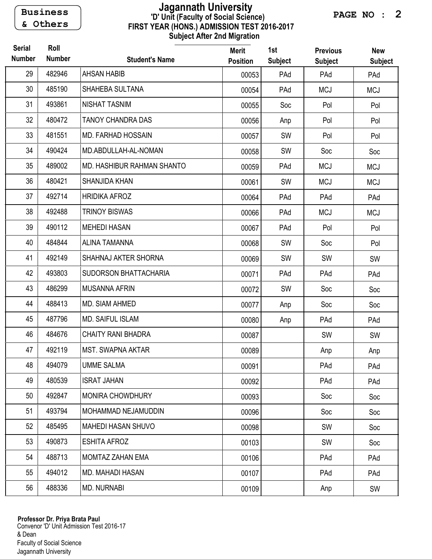Business & Others

## FIRST YEAR (HONS.) ADMISSION TEST 2016-2017 Subject After 2nd Migration 'D' Unit (Faculty of Social Science) Jagannath University

PAGE NO : 2

| <b>Serial</b><br><b>Number</b> | Roll<br><b>Number</b> | <b>Student's Name</b>        | <b>Merit</b><br><b>Position</b> | 1st<br><b>Subject</b> | <b>Previous</b><br><b>Subject</b> | <b>New</b><br><b>Subject</b> |
|--------------------------------|-----------------------|------------------------------|---------------------------------|-----------------------|-----------------------------------|------------------------------|
| 29                             | 482946                | <b>AHSAN HABIB</b>           | 00053                           | PAd                   | PAd                               | PAd                          |
| 30                             | 485190                | SHAHEBA SULTANA              | 00054                           | PAd                   | <b>MCJ</b>                        | <b>MCJ</b>                   |
| 31                             | 493861                | <b>NISHAT TASNIM</b>         | 00055                           | Soc                   | Pol                               | Pol                          |
| 32                             | 480472                | <b>TANOY CHANDRA DAS</b>     | 00056                           | Anp                   | Pol                               | Pol                          |
| 33                             | 481551                | <b>MD. FARHAD HOSSAIN</b>    | 00057                           | SW                    | Pol                               | Pol                          |
| 34                             | 490424                | MD.ABDULLAH-AL-NOMAN         | 00058                           | SW                    | Soc                               | Soc                          |
| 35                             | 489002                | MD. HASHIBUR RAHMAN SHANTO   | 00059                           | PAd                   | <b>MCJ</b>                        | <b>MCJ</b>                   |
| 36                             | 480421                | SHANJIDA KHAN                | 00061                           | SW                    | <b>MCJ</b>                        | <b>MCJ</b>                   |
| 37                             | 492714                | <b>HRIDIKA AFROZ</b>         | 00064                           | PAd                   | PAd                               | PAd                          |
| 38                             | 492488                | <b>TRINOY BISWAS</b>         | 00066                           | PAd                   | <b>MCJ</b>                        | <b>MCJ</b>                   |
| 39                             | 490112                | <b>MEHEDI HASAN</b>          | 00067                           | PAd                   | Pol                               | Pol                          |
| 40                             | 484844                | <b>ALINA TAMANNA</b>         | 00068                           | SW                    | Soc                               | Pol                          |
| 41                             | 492149                | SHAHNAJ AKTER SHORNA         | 00069                           | SW                    | SW                                | SW                           |
| 42                             | 493803                | <b>SUDORSON BHATTACHARIA</b> | 00071                           | PAd                   | PAd                               | PAd                          |
| 43                             | 486299                | <b>MUSANNA AFRIN</b>         | 00072                           | SW                    | Soc                               | Soc                          |
| 44                             | 488413                | MD. SIAM AHMED               | 00077                           | Anp                   | Soc                               | Soc                          |
| 45                             | 487796                | <b>MD. SAIFUL ISLAM</b>      | 00080                           | Anp                   | PAd                               | PAd                          |
| 46                             | 484676                | <b>CHAITY RANI BHADRA</b>    | 00087                           |                       | SW                                | SW                           |
| 47                             | 492119                | <b>MST. SWAPNA AKTAR</b>     | 00089                           |                       | Anp                               | Anp                          |
| 48                             | 494079                | <b>UMME SALMA</b>            | 00091                           |                       | PAd                               | PAd                          |
| 49                             | 480539                | <b>ISRAT JAHAN</b>           | 00092                           |                       | PAd                               | PAd                          |
| 50                             | 492847                | MONIRA CHOWDHURY             | 00093                           |                       | Soc                               | Soc                          |
| 51                             | 493794                | MOHAMMAD NEJAMUDDIN          | 00096                           |                       | Soc                               | Soc                          |
| 52                             | 485495                | <b>MAHEDI HASAN SHUVO</b>    | 00098                           |                       | SW                                | Soc                          |
| 53                             | 490873                | <b>ESHITA AFROZ</b>          | 00103                           |                       | SW                                | Soc                          |
| 54                             | 488713                | MOMTAZ ZAHAN EMA             | 00106                           |                       | PAd                               | PAd                          |
| 55                             | 494012                | MD. MAHADI HASAN             | 00107                           |                       | PAd                               | PAd                          |
| 56                             | 488336                | <b>MD. NURNABI</b>           | 00109                           |                       | Anp                               | SW                           |